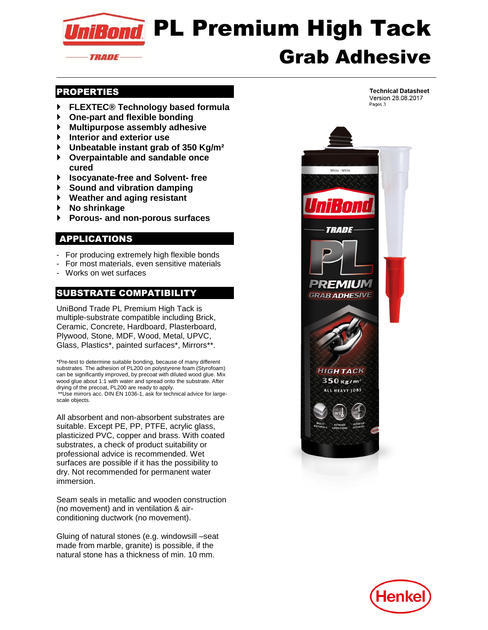

## PROPERTIES

- **FLEXTEC® Technology based formula**
- **One-part and flexible bonding**
- **Multipurpose assembly adhesive**
- **Interior and exterior use**
- **Unbeatable instant grab of 350 Kg/m²**
- **Overpaintable and sandable once cured**
- **Isocyanate-free and Solvent- free**
- **Sound and vibration damping**
- **Weather and aging resistant**
- **No shrinkage**
- **Porous- and non-porous surfaces**

# APPLICATIONS

- For producing extremely high flexible bonds
- For most materials, even sensitive materials
- Works on wet surfaces

# SUBSTRATE COMPATIBILITY

UniBond Trade PL Premium High Tack is multiple-substrate compatible including Brick, Ceramic, Concrete, Hardboard, Plasterboard, Plywood, Stone, MDF, Wood, Metal, UPVC, Glass, Plastics\*, painted surfaces\*, Mirrors\*\*.

\*Pre-test to determine suitable bonding, because of many different substrates. The adhesion of PL200 on polystyrene foam (Styrofoam) can be significantly improved, by precoat with diluted wood glue. Mix wood glue about 1:1 with water and spread onto the substrate. After drying of the precoat, PL200 are ready to apply. \*\*Use mirrors acc. DIN EN 1036-1, ask for technical advice for largescale objects.

All absorbent and non-absorbent substrates are suitable. Except PE, PP, PTFE, acrylic glass, plasticized PVC, copper and brass. With coated substrates, a check of product suitability or professional advice is recommended. Wet surfaces are possible if it has the possibility to dry. Not recommended for permanent water immersion.

Seam seals in metallic and wooden construction (no movement) and in ventilation & airconditioning ductwork (no movement).

Gluing of natural stones (e.g. windowsill –seat made from marble, granite) is possible, if the natural stone has a thickness of min. 10 mm.



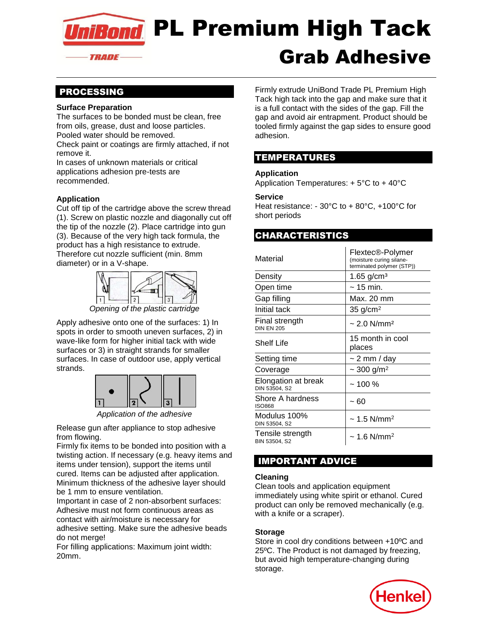niBond PL Premium High Tack Grab Adhesive *TRADE-*

## PROCESSING

#### **Surface Preparation**

The surfaces to be bonded must be clean, free from oils, grease, dust and loose particles. Pooled water should be removed.

Check paint or coatings are firmly attached, if not remove it.

In cases of unknown materials or critical applications adhesion pre-tests are recommended.

### **Application**

Cut off tip of the cartridge above the screw thread (1). Screw on plastic nozzle and diagonally cut off the tip of the nozzle (2). Place cartridge into gun (3). Because of the very high tack formula, the product has a high resistance to extrude. Therefore cut nozzle sufficient (min. 8mm diameter) or in a V-shape.



*Opening of the plastic cartridge*

Apply adhesive onto one of the surfaces: 1) In spots in order to smooth uneven surfaces, 2) in wave-like form for higher initial tack with wide surfaces or 3) in straight strands for smaller surfaces. In case of outdoor use, apply vertical strands.



*Application of the adhesive*

Release gun after appliance to stop adhesive from flowing.

Firmly fix items to be bonded into position with a twisting action. If necessary (e.g. heavy items and items under tension), support the items until cured. Items can be adjusted after application. Minimum thickness of the adhesive layer should be 1 mm to ensure ventilation.

Important in case of 2 non-absorbent surfaces: Adhesive must not form continuous areas as contact with air/moisture is necessary for adhesive setting. Make sure the adhesive beads do not merge!

For filling applications: Maximum joint width: 20mm.

Firmly extrude UniBond Trade PL Premium High Tack high tack into the gap and make sure that it is a full contact with the sides of the gap. Fill the gap and avoid air entrapment. Product should be tooled firmly against the gap sides to ensure good adhesion.

# TEMPERATURES

#### **Application**

Application Temperatures: + 5°C to + 40°C

#### **Service**

Heat resistance: - 30°C to + 80°C, +100°C for short periods

## CHARACTERISTICS

| Material                             | Flextec®-Polymer<br>(moisture curing silane-<br>terminated polymer (STP)) |
|--------------------------------------|---------------------------------------------------------------------------|
| Density                              | 1.65 $g/cm3$                                                              |
| Open time                            | $\sim$ 15 min.                                                            |
| Gap filling                          | Max. 20 mm                                                                |
| Initial tack                         | $35$ g/cm <sup>2</sup>                                                    |
| Final strength<br><b>DIN EN 205</b>  | $\sim$ 2.0 N/mm <sup>2</sup>                                              |
| Shelf Life                           | 15 month in cool<br>places                                                |
| Setting time                         | $\sim$ 2 mm / day                                                         |
| Coverage                             | $\sim$ 300 g/m <sup>2</sup>                                               |
| Elongation at break<br>DIN 53504, S2 | $~100\%$                                                                  |
| Shore A hardness<br><b>ISO868</b>    | ~ 60                                                                      |
| Modulus 100%<br>DIN 53504, S2        | $\sim$ 1.5 N/mm <sup>2</sup>                                              |
| Tensile strength<br>BIN 53504, S2    | $\sim$ 1.6 N/mm <sup>2</sup>                                              |

# IMPORTANT ADVICE

#### **Cleaning**

Clean tools and application equipment immediately using white spirit or ethanol. Cured product can only be removed mechanically (e.g. with a knife or a scraper).

### **Storage**

Store in cool dry conditions between +10ºC and 25ºC. The Product is not damaged by freezing, but avoid high temperature-changing during storage.